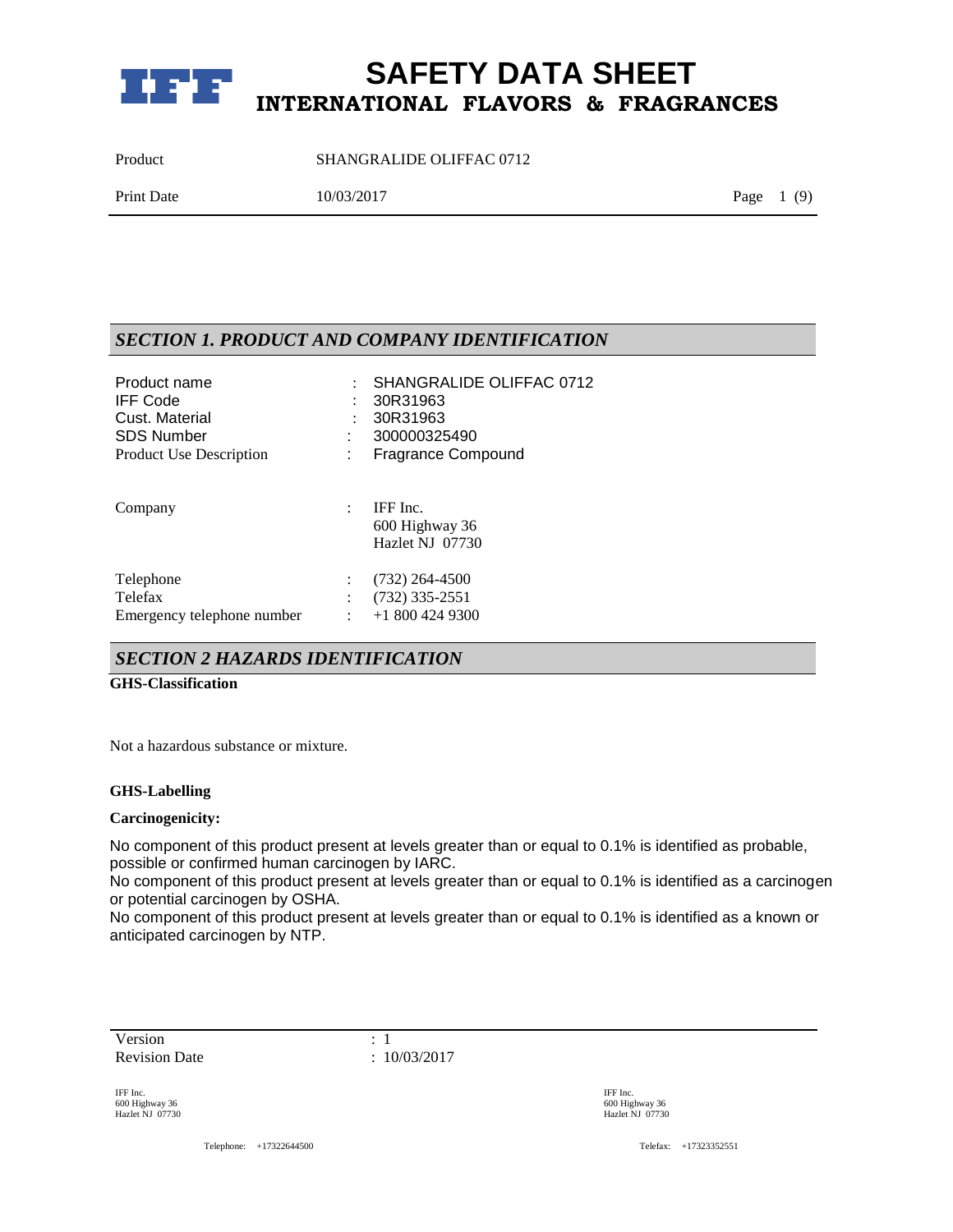

Product SHANGRALIDE OLIFFAC 0712

| <b>Print Date</b><br>Page $1(9)$<br>10/03/2017 |  |
|------------------------------------------------|--|
|------------------------------------------------|--|

### *SECTION 1. PRODUCT AND COMPANY IDENTIFICATION*

| Product name                   |   | SHANGRALIDE OLIFFAC 0712  |
|--------------------------------|---|---------------------------|
| <b>IFF Code</b>                |   | 30R31963                  |
| Cust. Material                 |   | 30R31963                  |
| <b>SDS Number</b>              |   | 300000325490              |
| <b>Product Use Description</b> |   | <b>Fragrance Compound</b> |
| Company                        | ÷ | IFF Inc.                  |
|                                |   | 600 Highway 36            |
|                                |   | Hazlet NJ 07730           |
| Telephone                      |   | $(732)$ 264-4500          |
| Telefax                        |   | $(732)$ 335-2551          |
| Emergency telephone number     |   | $+18004249300$            |

### *SECTION 2 HAZARDS IDENTIFICATION*

#### **GHS-Classification**

Not a hazardous substance or mixture.

#### **GHS-Labelling**

#### **Carcinogenicity:**

No component of this product present at levels greater than or equal to 0.1% is identified as probable, possible or confirmed human carcinogen by IARC.

No component of this product present at levels greater than or equal to 0.1% is identified as a carcinogen or potential carcinogen by OSHA.

No component of this product present at levels greater than or equal to 0.1% is identified as a known or anticipated carcinogen by NTP.

Version : 1 Revision Date : 10/03/2017

IFF Inc. 600 Highway 36 Hazlet NJ 07730

Telephone: +17322644500 Telefax: +17323352551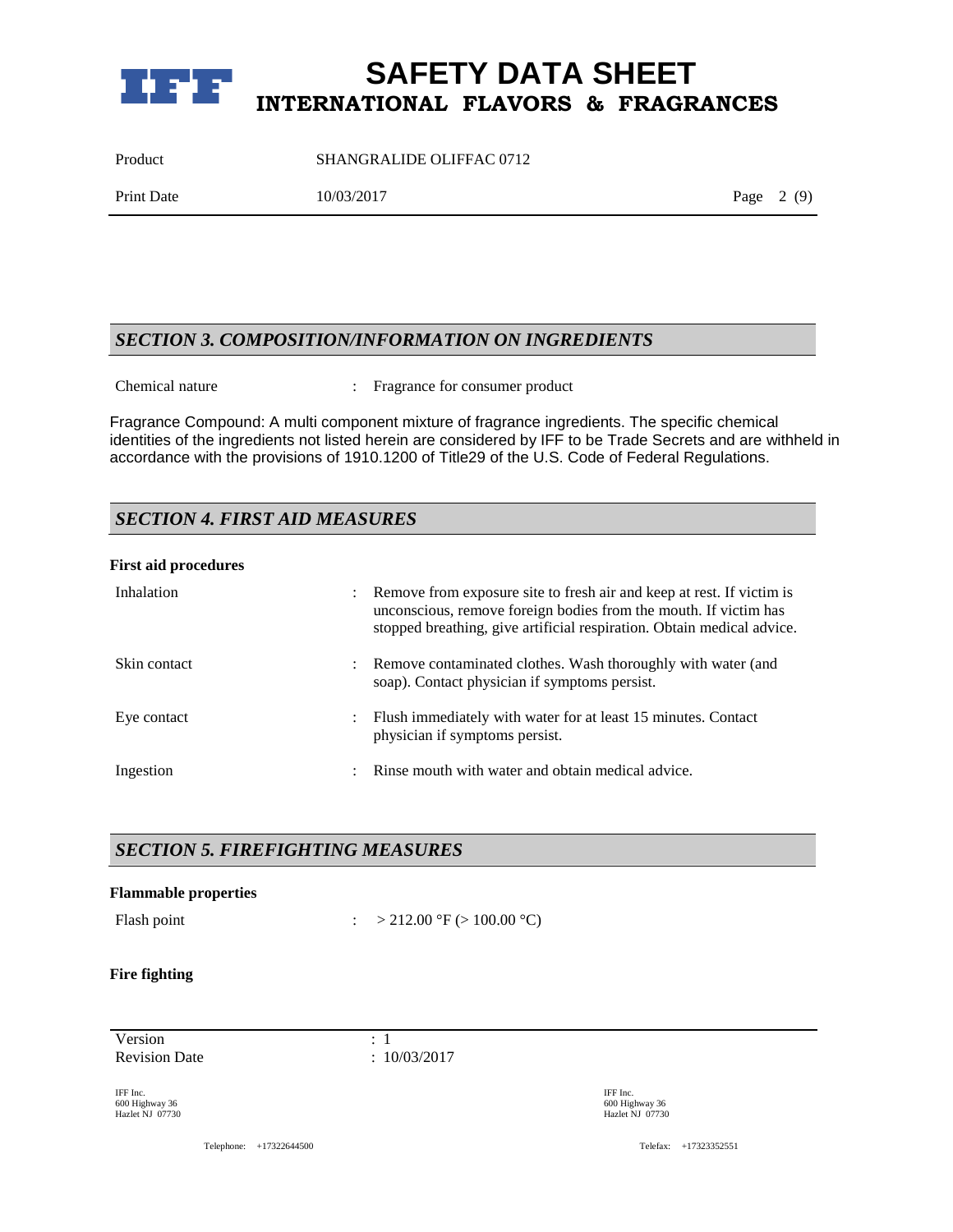

Product SHANGRALIDE OLIFFAC 0712

Print Date 10/03/2017 Page 2 (9)

### *SECTION 3. COMPOSITION/INFORMATION ON INGREDIENTS*

Chemical nature : Fragrance for consumer product

Fragrance Compound: A multi component mixture of fragrance ingredients. The specific chemical identities of the ingredients not listed herein are considered by IFF to be Trade Secrets and are withheld in accordance with the provisions of 1910.1200 of Title29 of the U.S. Code of Federal Regulations.

### *SECTION 4. FIRST AID MEASURES*

#### **First aid procedures**

| Inhalation   | $\ddot{\phantom{0}}$ | Remove from exposure site to fresh air and keep at rest. If victim is<br>unconscious, remove foreign bodies from the mouth. If victim has<br>stopped breathing, give artificial respiration. Obtain medical advice. |
|--------------|----------------------|---------------------------------------------------------------------------------------------------------------------------------------------------------------------------------------------------------------------|
| Skin contact | $\ddot{\phantom{0}}$ | Remove contaminated clothes. Wash thoroughly with water (and<br>soap). Contact physician if symptoms persist.                                                                                                       |
| Eye contact  | $\ddot{\phantom{0}}$ | Flush immediately with water for at least 15 minutes. Contact<br>physician if symptoms persist.                                                                                                                     |
| Ingestion    | ٠                    | Rinse mouth with water and obtain medical advice.                                                                                                                                                                   |

### *SECTION 5. FIREFIGHTING MEASURES*

# **Flammable properties** Flash point :  $> 212.00 \degree$ F ( $> 100.00 \degree$ C) **Fire fighting**

Version : 1 Revision Date : 10/03/2017

IFF Inc. 600 Highway 36 Hazlet NJ 07730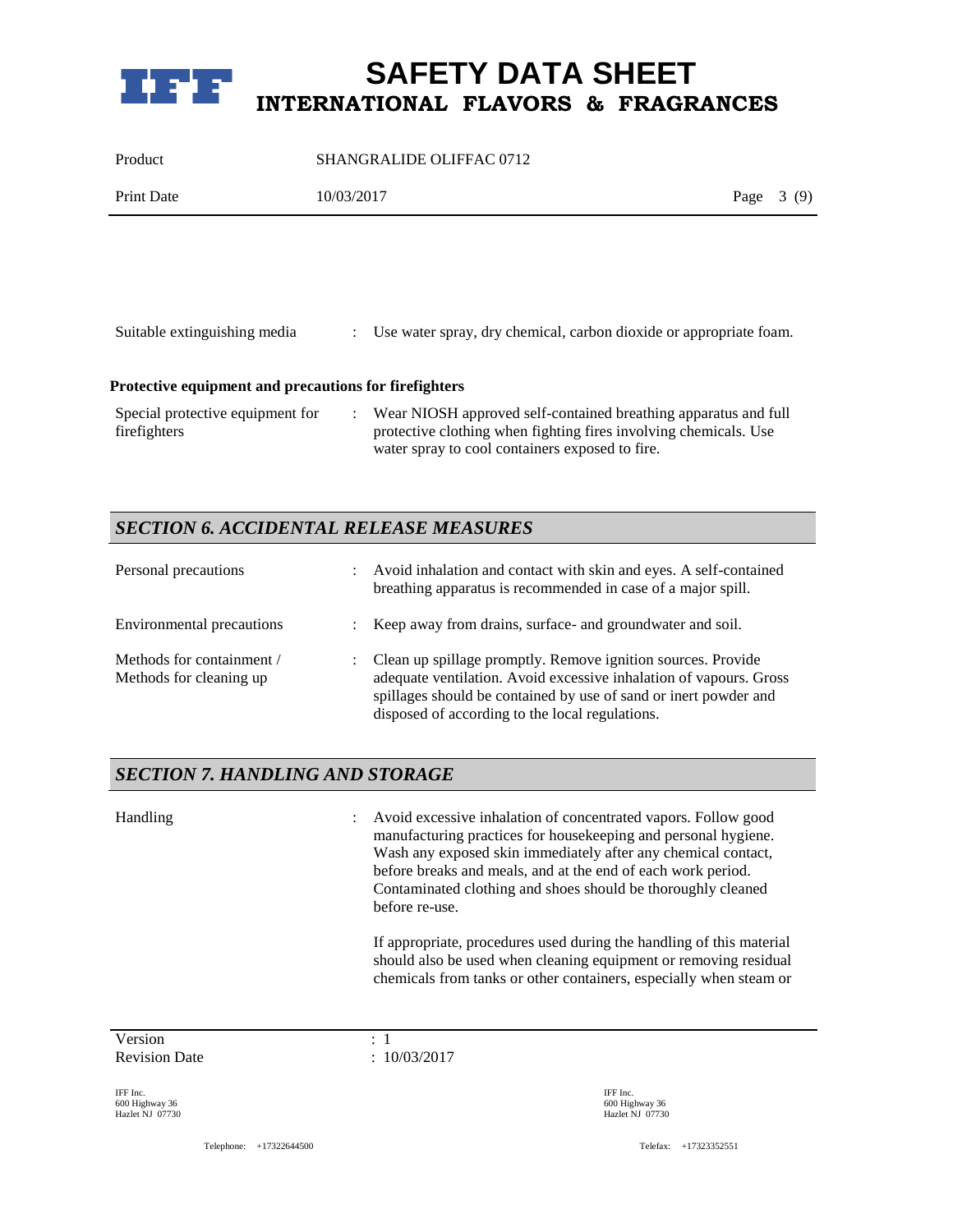

Product SHANGRALIDE OLIFFAC 0712

| <b>Print Date</b> | 10/03/2017 | Page | (O) |
|-------------------|------------|------|-----|
|                   |            |      |     |

| Suitable extinguishing media                          | : Use water spray, dry chemical, carbon dioxide or appropriate foam. |  |  |
|-------------------------------------------------------|----------------------------------------------------------------------|--|--|
| Protective equipment and precautions for firefighters |                                                                      |  |  |
| Special protective equipment for                      | Wear NIOSH approved self-contained breathing apparatus and full      |  |  |

| Special protective equipment for | Wear NIOSH approved self-contained breathing apparatus and full  |
|----------------------------------|------------------------------------------------------------------|
| firefighters                     | protective clothing when fighting fires involving chemicals. Use |
|                                  | water spray to cool containers exposed to fire.                  |

### *SECTION 6. ACCIDENTAL RELEASE MEASURES*

| Personal precautions                                 | $\mathbb{Z}^{\mathbb{Z}}$ | Avoid inhalation and contact with skin and eyes. A self-contained<br>breathing apparatus is recommended in case of a major spill.                                                                                                                         |
|------------------------------------------------------|---------------------------|-----------------------------------------------------------------------------------------------------------------------------------------------------------------------------------------------------------------------------------------------------------|
| Environmental precautions                            | $\mathbb{R}^n$            | Keep away from drains, surface- and groundwater and soil.                                                                                                                                                                                                 |
| Methods for containment /<br>Methods for cleaning up | $\mathbb{R}^n$            | Clean up spillage promptly. Remove ignition sources. Provide<br>adequate ventilation. Avoid excessive inhalation of vapours. Gross<br>spillages should be contained by use of sand or inert powder and<br>disposed of according to the local regulations. |

### *SECTION 7. HANDLING AND STORAGE*

Handling : Avoid excessive inhalation of concentrated vapors. Follow good manufacturing practices for housekeeping and personal hygiene. Wash any exposed skin immediately after any chemical contact, before breaks and meals, and at the end of each work period. Contaminated clothing and shoes should be thoroughly cleaned before re-use. If appropriate, procedures used during the handling of this material

should also be used when cleaning equipment or removing residual chemicals from tanks or other containers, especially when steam or

Version : 1 Revision Date : 10/03/2017

IFF Inc. 600 Highway 36 Hazlet NJ 07730

Telephone: +17322644500 Telefax: +17323352551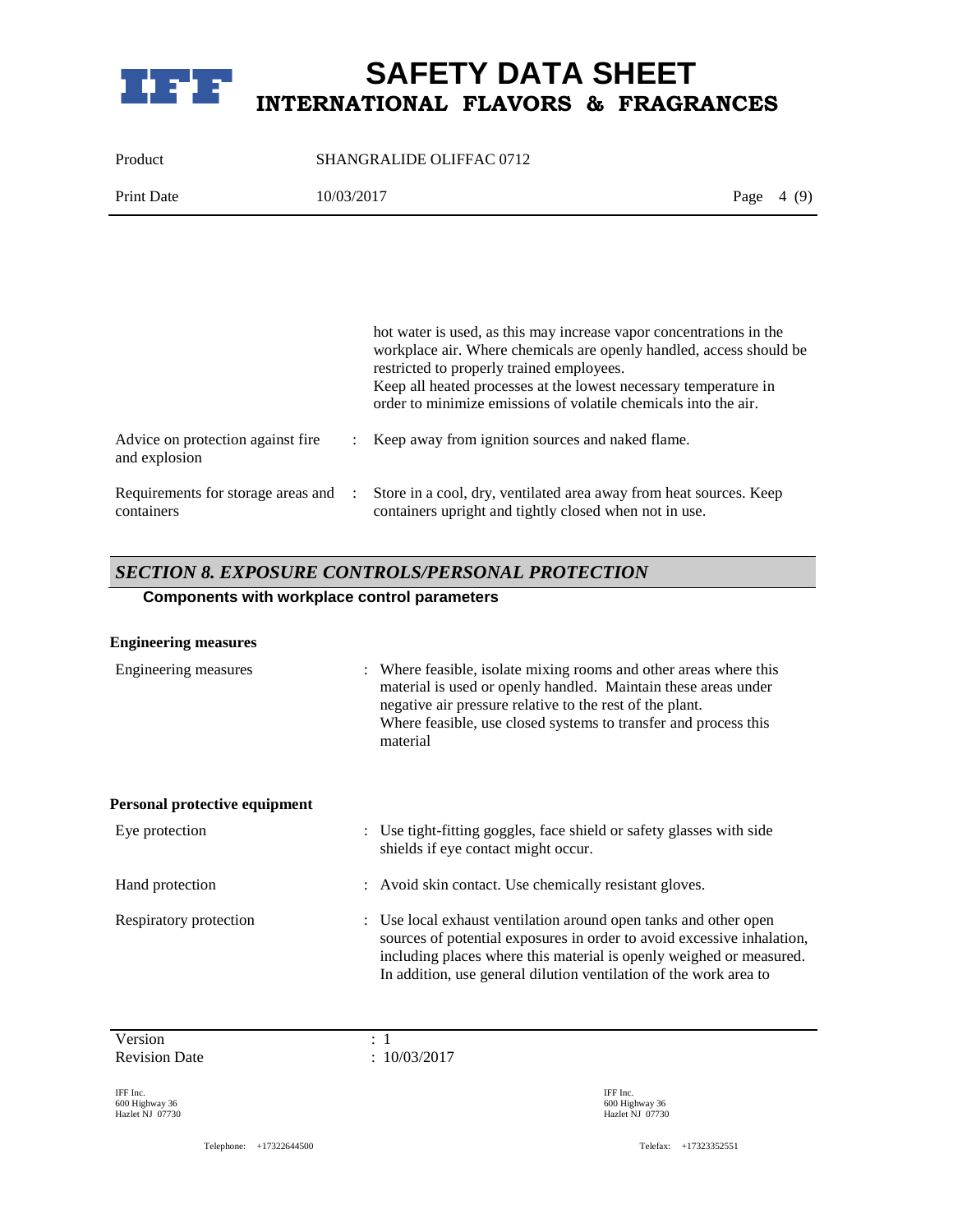

Product SHANGRALIDE OLIFFAC 0712 Print Date 10/03/2017 Page 4 (9)

|                                                    | hot water is used, as this may increase vapor concentrations in the<br>workplace air. Where chemicals are openly handled, access should be<br>restricted to properly trained employees.<br>Keep all heated processes at the lowest necessary temperature in<br>order to minimize emissions of volatile chemicals into the air. |
|----------------------------------------------------|--------------------------------------------------------------------------------------------------------------------------------------------------------------------------------------------------------------------------------------------------------------------------------------------------------------------------------|
| Advice on protection against fire<br>and explosion | Keep away from ignition sources and naked flame.                                                                                                                                                                                                                                                                               |
| Requirements for storage areas and :<br>containers | Store in a cool, dry, ventilated area away from heat sources. Keep<br>containers upright and tightly closed when not in use.                                                                                                                                                                                                   |

### *SECTION 8. EXPOSURE CONTROLS/PERSONAL PROTECTION*

### **Components with workplace control parameters**

| <b>Engineering measures</b>   |                                                                                                                                                                                                                                                                                        |
|-------------------------------|----------------------------------------------------------------------------------------------------------------------------------------------------------------------------------------------------------------------------------------------------------------------------------------|
| Engineering measures          | : Where feasible, isolate mixing rooms and other areas where this<br>material is used or openly handled. Maintain these areas under<br>negative air pressure relative to the rest of the plant.<br>Where feasible, use closed systems to transfer and process this<br>material         |
| Personal protective equipment |                                                                                                                                                                                                                                                                                        |
| Eye protection                | : Use tight-fitting goggles, face shield or safety glasses with side<br>shields if eye contact might occur.                                                                                                                                                                            |
| Hand protection               | : Avoid skin contact. Use chemically resistant gloves.                                                                                                                                                                                                                                 |
| Respiratory protection        | : Use local exhaust ventilation around open tanks and other open<br>sources of potential exposures in order to avoid excessive inhalation,<br>including places where this material is openly weighed or measured.<br>In addition, use general dilution ventilation of the work area to |

Version : 1 Revision Date : 10/03/2017

IFF Inc. 600 Highway 36 Hazlet NJ 07730

Telephone: +17322644500 Telefax: +17323352551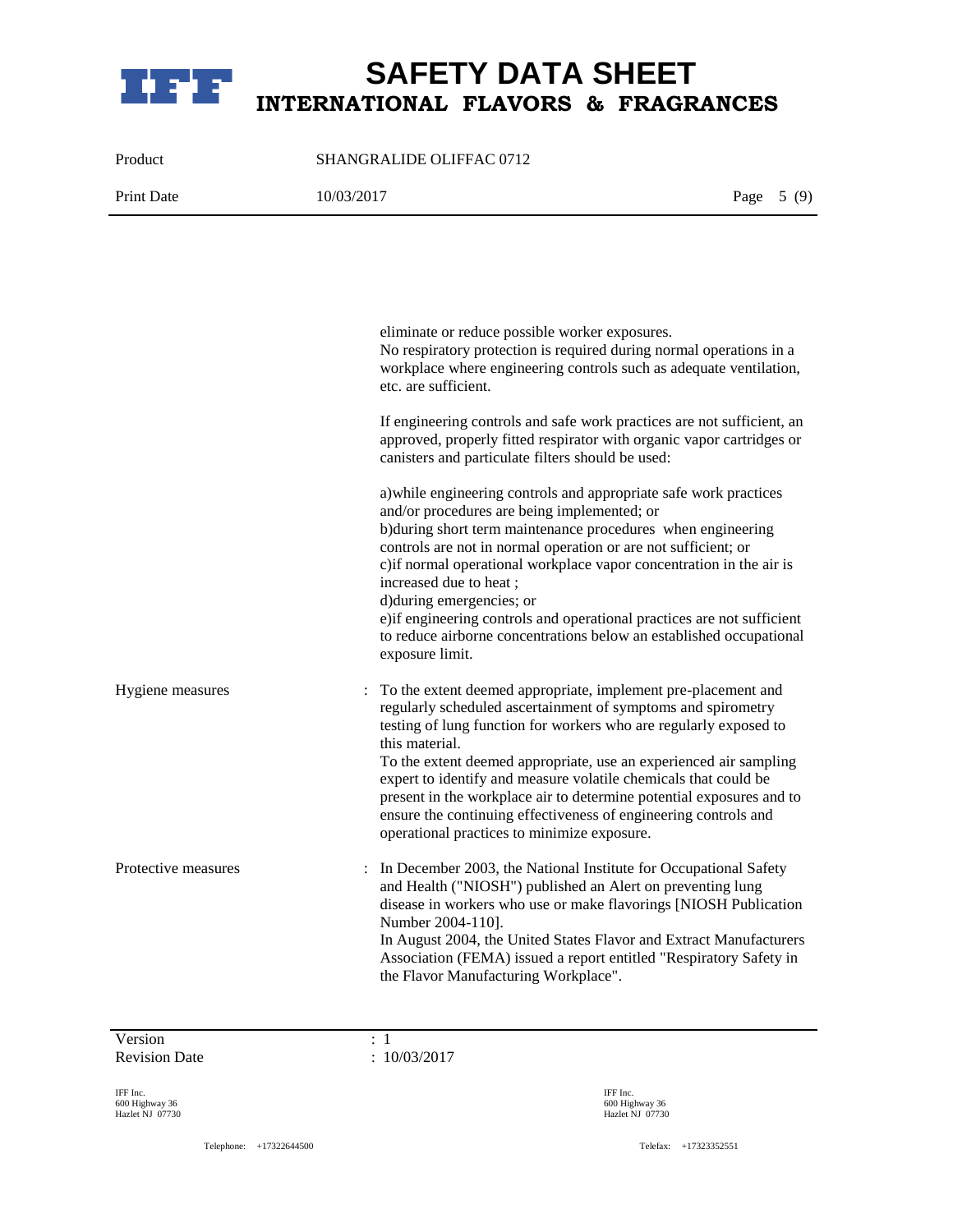

Product SHANGRALIDE OLIFFAC 0712

Print Date 10/03/2017 **Print Date 10/03/2017** 

eliminate or reduce possible worker exposures. No respiratory protection is required during normal operations in a workplace where engineering controls such as adequate ventilation, etc. are sufficient. If engineering controls and safe work practices are not sufficient, an approved, properly fitted respirator with organic vapor cartridges or canisters and particulate filters should be used: a)while engineering controls and appropriate safe work practices and/or procedures are being implemented; or b)during short term maintenance procedures when engineering controls are not in normal operation or are not sufficient; or c)if normal operational workplace vapor concentration in the air is increased due to heat ; d)during emergencies; or e)if engineering controls and operational practices are not sufficient to reduce airborne concentrations below an established occupational exposure limit. Hygiene measures : To the extent deemed appropriate, implement pre-placement and regularly scheduled ascertainment of symptoms and spirometry testing of lung function for workers who are regularly exposed to this material. To the extent deemed appropriate, use an experienced air sampling expert to identify and measure volatile chemicals that could be present in the workplace air to determine potential exposures and to ensure the continuing effectiveness of engineering controls and operational practices to minimize exposure. Protective measures : In December 2003, the National Institute for Occupational Safety and Health ("NIOSH") published an Alert on preventing lung disease in workers who use or make flavorings [NIOSH Publication Number 2004-110]. In August 2004, the United States Flavor and Extract Manufacturers Association (FEMA) issued a report entitled "Respiratory Safety in the Flavor Manufacturing Workplace".

Version : 1 Revision Date : 10/03/2017

IFF Inc. 600 Highway 36 Hazlet NJ 07730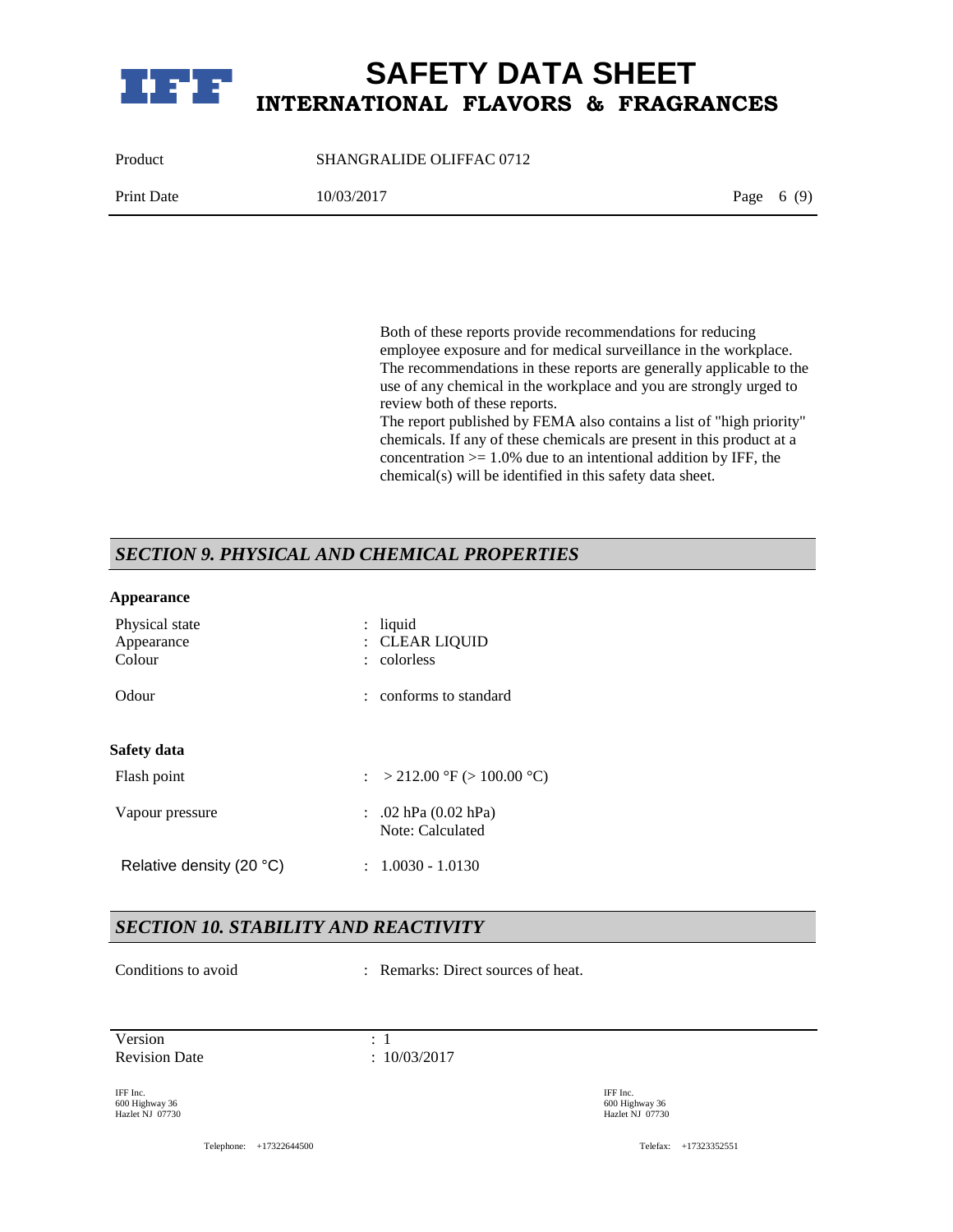

Product SHANGRALIDE OLIFFAC 0712 Print Date 10/03/2017 Page 6 (9)

> Both of these reports provide recommendations for reducing employee exposure and for medical surveillance in the workplace. The recommendations in these reports are generally applicable to the use of any chemical in the workplace and you are strongly urged to review both of these reports.

The report published by FEMA also contains a list of "high priority" chemicals. If any of these chemicals are present in this product at a concentration  $>= 1.0\%$  due to an intentional addition by IFF, the chemical(s) will be identified in this safety data sheet.

### *SECTION 9. PHYSICAL AND CHEMICAL PROPERTIES*

#### **Appearance**

| Physical state<br>Appearance<br>Colour | $:$ liquid<br>: CLEAR LIOUID<br>: colorless         |
|----------------------------------------|-----------------------------------------------------|
| Odour                                  | : conforms to standard                              |
| Safety data                            |                                                     |
| Flash point                            | : > 212.00 °F (> 100.00 °C)                         |
| Vapour pressure                        | $\therefore$ .02 hPa (0.02 hPa)<br>Note: Calculated |
| Relative density (20 °C)               | $: 1.0030 - 1.0130$                                 |

### *SECTION 10. STABILITY AND REACTIVITY*

Conditions to avoid : Remarks: Direct sources of heat.

Version : 1 Revision Date : 10/03/2017

IFF Inc. 600 Highway 36 Hazlet NJ 07730 IFF Inc. 600 Highway 36 Hazlet NJ 07730

Telephone: +17322644500 Telefax: +17323352551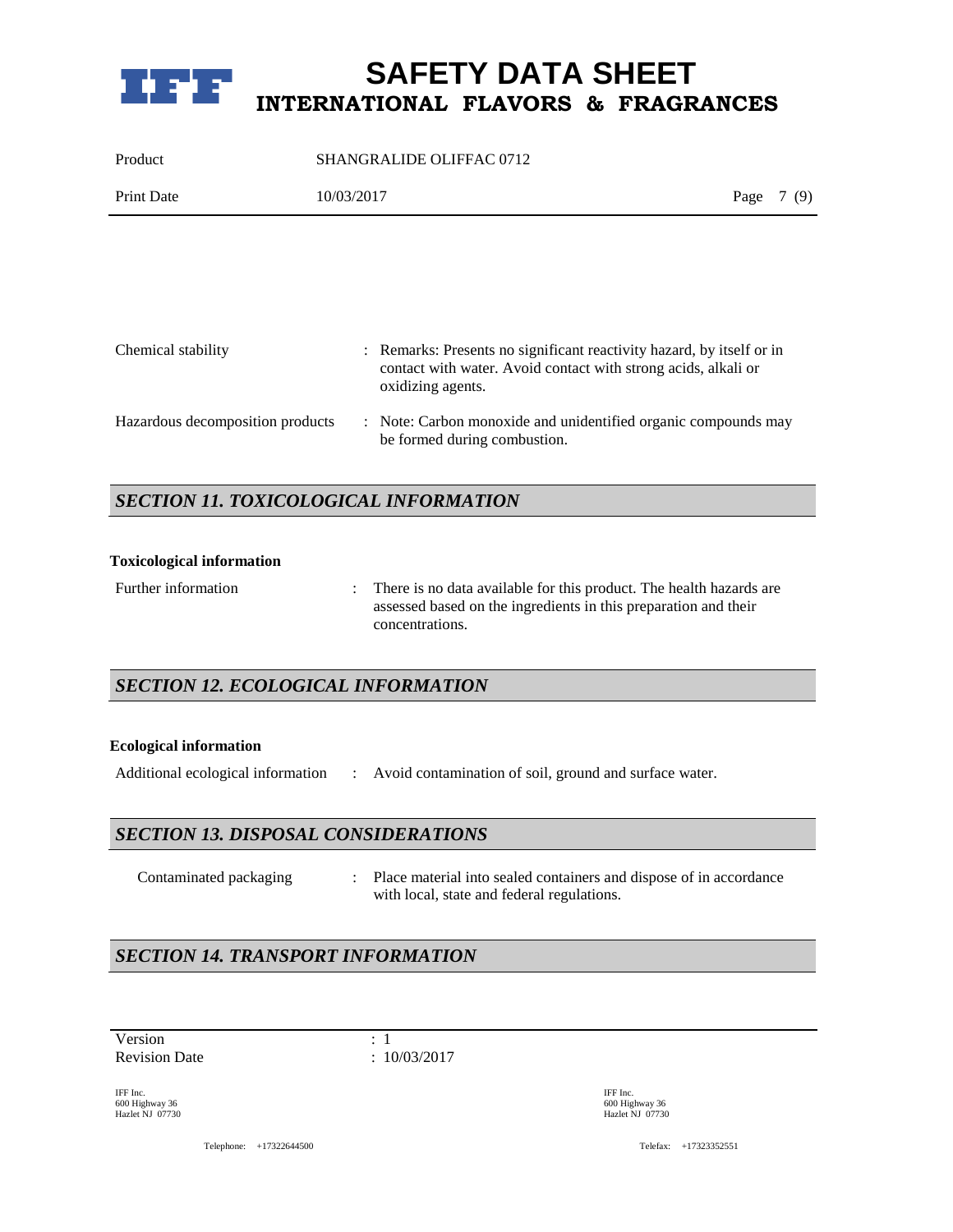

| Product    | SHANGRALIDE OLIFFAC 0712 |            |  |
|------------|--------------------------|------------|--|
| Print Date | 10/03/2017               | Page 7 (9) |  |

| Chemical stability               | : Remarks: Presents no significant reactivity hazard, by itself or in<br>contact with water. Avoid contact with strong acids, alkali or<br>oxidizing agents. |
|----------------------------------|--------------------------------------------------------------------------------------------------------------------------------------------------------------|
| Hazardous decomposition products | : Note: Carbon monoxide and unidentified organic compounds may<br>be formed during combustion.                                                               |

### *SECTION 11. TOXICOLOGICAL INFORMATION*

#### **Toxicological information**

| Further information | There is no data available for this product. The health hazards are |
|---------------------|---------------------------------------------------------------------|
|                     | assessed based on the ingredients in this preparation and their     |
|                     | concentrations.                                                     |

### *SECTION 12. ECOLOGICAL INFORMATION*

#### **Ecological information**

Additional ecological information : Avoid contamination of soil, ground and surface water.

### *SECTION 13. DISPOSAL CONSIDERATIONS*

Contaminated packaging : Place material into sealed containers and dispose of in accordance with local, state and federal regulations.

### *SECTION 14. TRANSPORT INFORMATION*

Version : 1 Revision Date : 10/03/2017

IFF Inc. 600 Highway 36 Hazlet NJ 07730 IFF Inc. 600 Highway 36 Hazlet NJ 07730

Telephone: +17322644500 Telefax: +17323352551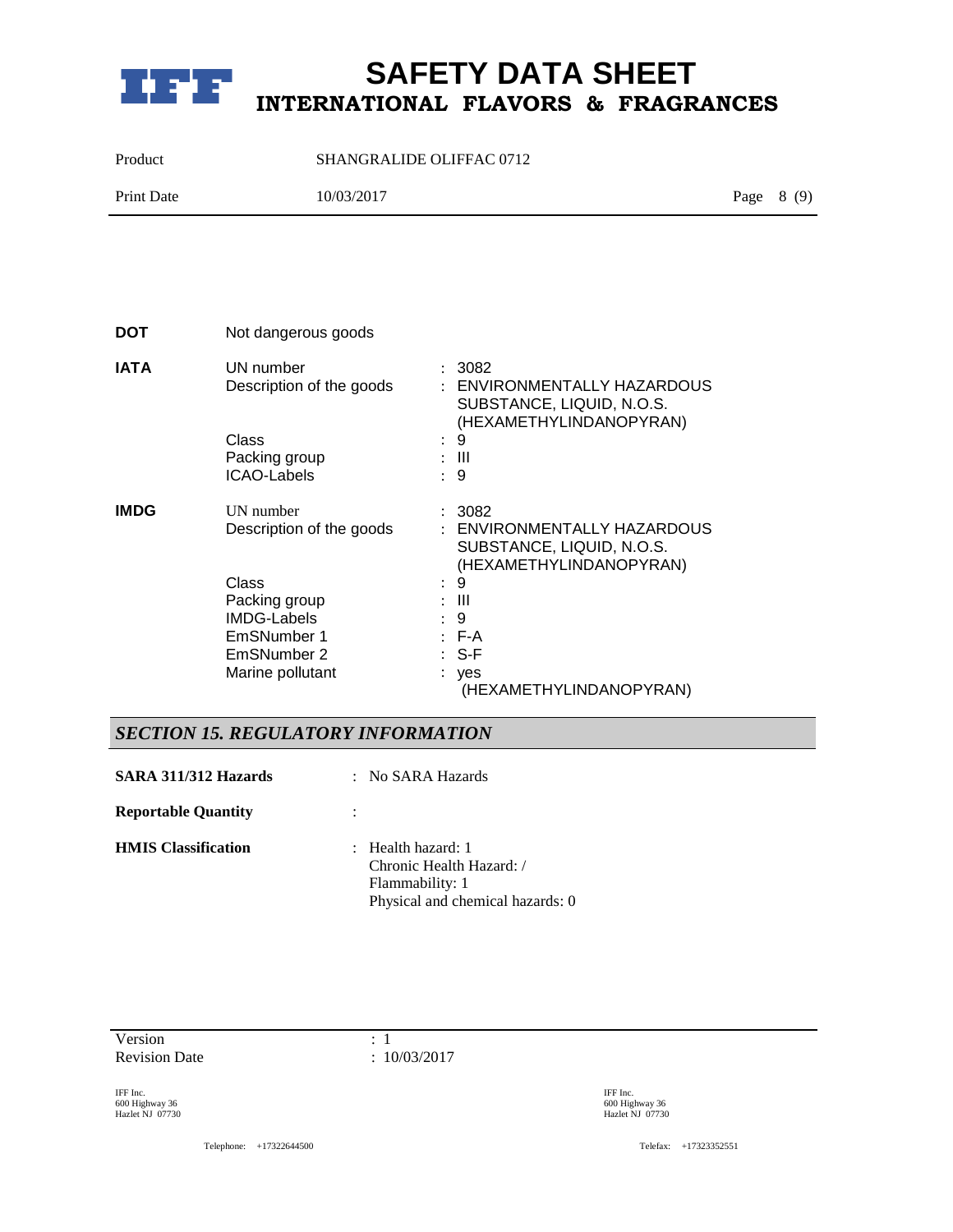

Product SHANGRALIDE OLIFFAC 0712

| Print Date | 10/03/2017 | Page $8(9)$ |  |
|------------|------------|-------------|--|
|            |            |             |  |

| DOT         | Not dangerous goods                   |                           |                                                                                               |
|-------------|---------------------------------------|---------------------------|-----------------------------------------------------------------------------------------------|
| <b>ATAI</b> | UN number<br>Description of the goods |                           | : 3082<br>: ENVIRONMENTALLY HAZARDOUS<br>SUBSTANCE, LIQUID, N.O.S.<br>(HEXAMETHYLINDANOPYRAN) |
|             | Class                                 | $\mathbb{R}^{\mathbb{Z}}$ | 9                                                                                             |
|             | Packing group                         |                           | $\pm$ 111                                                                                     |
|             | <b>ICAO-Labels</b>                    |                           | 9                                                                                             |
| <b>IMDG</b> | UN number<br>Description of the goods |                           | : 3082<br>: ENVIRONMENTALLY HAZARDOUS<br>SUBSTANCE, LIQUID, N.O.S.<br>(HEXAMETHYLINDANOPYRAN) |
|             | Class                                 |                           | 9                                                                                             |
|             | Packing group                         |                           | $\pm$ 111                                                                                     |
|             | <b>IMDG-Labels</b>                    |                           | 9                                                                                             |
|             | EmSNumber 1<br>EmSNumber 2            |                           | $:$ F-A<br>$:$ S-F                                                                            |
|             | Marine pollutant                      |                           | yes<br>(HEXAMETHYLINDANOPYRAN)                                                                |
|             |                                       |                           |                                                                                               |

## *SECTION 15. REGULATORY INFORMATION*

| SARA 311/312 Hazards       | : No SARA Hazards                                                                                                |
|----------------------------|------------------------------------------------------------------------------------------------------------------|
| <b>Reportable Quantity</b> |                                                                                                                  |
| <b>HMIS</b> Classification | $\therefore$ Health hazard: 1<br>Chronic Health Hazard: /<br>Flammability: 1<br>Physical and chemical hazards: 0 |

Version : 1 Revision Date : 10/03/2017

IFF Inc. 600 Highway 36 Hazlet NJ 07730